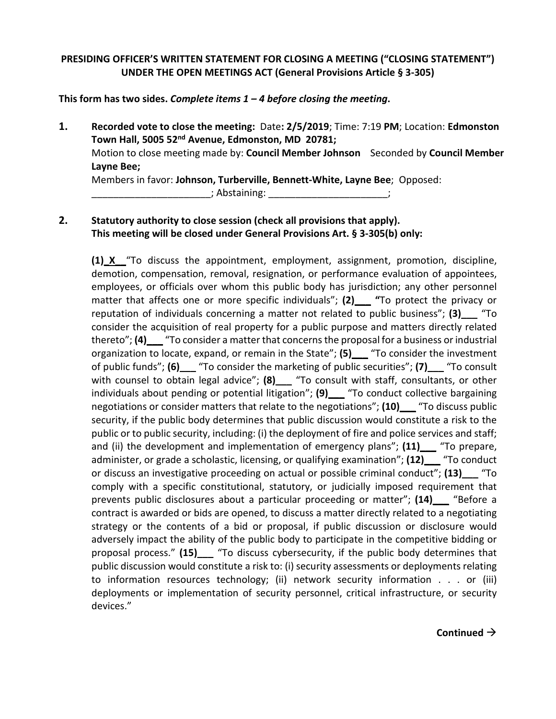## **PRESIDING OFFICER'S WRITTEN STATEMENT FOR CLOSING A MEETING ("CLOSING STATEMENT") UNDER THE OPEN MEETINGS ACT (General Provisions Article § 3-305)**

**This form has two sides.** *Complete items 1 – 4 before closing the meeting***.**

**1. Recorded vote to close the meeting:** Date**: 2/5/2019**; Time: 7:19 **PM**; Location: **Edmonston Town Hall, 5005 52nd Avenue, Edmonston, MD 20781;**  Motion to close meeting made by: **Council Member Johnson** Seconded by **Council Member Layne Bee;** Members in favor: **Johnson, Turberville, Bennett-White, Layne Bee**; Opposed: \_\_\_\_; Abstaining: \_\_\_\_\_\_\_\_\_\_\_\_\_\_\_\_\_\_\_\_\_\_\_\_\_\_;

# **2. Statutory authority to close session (check all provisions that apply). This meeting will be closed under General Provisions Art. § 3-305(b) only:**

**(1) X** "To discuss the appointment, employment, assignment, promotion, discipline, demotion, compensation, removal, resignation, or performance evaluation of appointees, employees, or officials over whom this public body has jurisdiction; any other personnel matter that affects one or more specific individuals"; **(2)\_\_\_ "**To protect the privacy or reputation of individuals concerning a matter not related to public business"; **(3)\_\_\_** "To consider the acquisition of real property for a public purpose and matters directly related thereto"; **(4)** To consider a matter that concerns the proposal for a business or industrial organization to locate, expand, or remain in the State"; **(5)\_\_\_** "To consider the investment of public funds"; **(6)\_\_\_** "To consider the marketing of public securities"; **(7)\_\_\_** "To consult with counsel to obtain legal advice"; **(8)\_\_\_** "To consult with staff, consultants, or other individuals about pending or potential litigation"; **(9)\_\_\_** "To conduct collective bargaining negotiations or consider matters that relate to the negotiations"; **(10)\_\_\_** "To discuss public security, if the public body determines that public discussion would constitute a risk to the public or to public security, including: (i) the deployment of fire and police services and staff; and (ii) the development and implementation of emergency plans"; **(11)\_\_\_** "To prepare, administer, or grade a scholastic, licensing, or qualifying examination"; **(12)\_\_\_** "To conduct or discuss an investigative proceeding on actual or possible criminal conduct"; **(13)\_\_\_** "To comply with a specific constitutional, statutory, or judicially imposed requirement that prevents public disclosures about a particular proceeding or matter"; **(14)\_\_\_** "Before a contract is awarded or bids are opened, to discuss a matter directly related to a negotiating strategy or the contents of a bid or proposal, if public discussion or disclosure would adversely impact the ability of the public body to participate in the competitive bidding or proposal process." **(15)\_\_\_** "To discuss cybersecurity, if the public body determines that public discussion would constitute a risk to: (i) security assessments or deployments relating to information resources technology; (ii) network security information . . . or (iii) deployments or implementation of security personnel, critical infrastructure, or security devices."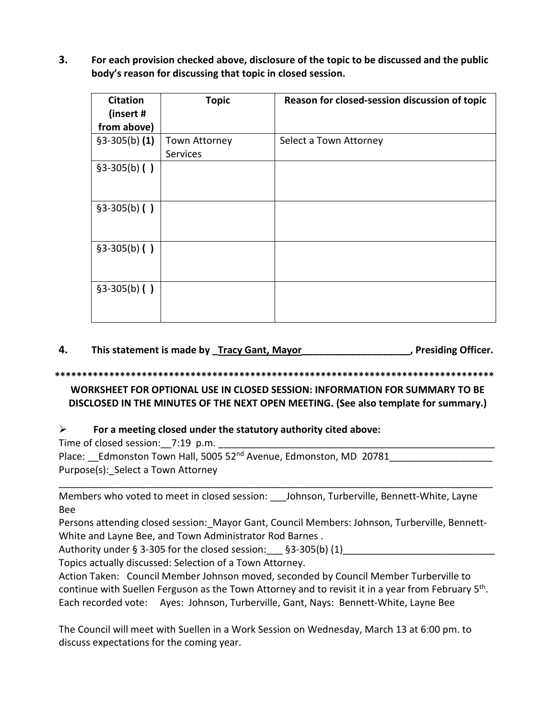**3. For each provision checked above, disclosure of the topic to be discussed and the public body's reason for discussing that topic in closed session.** 

| <b>Citation</b><br>(insert #<br>from above) | <b>Topic</b>              | Reason for closed-session discussion of topic |
|---------------------------------------------|---------------------------|-----------------------------------------------|
| $$3-305(b) (1)$                             | Town Attorney<br>Services | Select a Town Attorney                        |
| $§3-305(b)$ ()                              |                           |                                               |
| $$3-305(b)$ ()                              |                           |                                               |
| $$3-305(b)$ ()                              |                           |                                               |
| $$3-305(b)$ ()                              |                           |                                               |

**4. This statement is made by \_Tracy Gant, Mayor\_\_\_\_\_\_\_\_\_\_\_\_\_\_\_\_\_\_\_\_, Presiding Officer.**

#### **\*\*\*\*\*\*\*\*\*\*\*\*\*\*\*\*\*\*\*\*\*\*\*\*\*\*\*\*\*\*\*\*\*\*\*\*\*\*\*\*\*\*\*\*\*\*\*\*\*\*\*\*\*\*\*\*\*\*\*\*\*\*\*\*\*\*\*\*\*\*\*\*\*\*\*\*\*\*\*\*\***

### **WORKSHEET FOR OPTIONAL USE IN CLOSED SESSION: INFORMATION FOR SUMMARY TO BE DISCLOSED IN THE MINUTES OF THE NEXT OPEN MEETING. (See also template for summary.)**

# **For a meeting closed under the statutory authority cited above:**

Time of closed session:  $7:19$  p.m.

Place: Edmonston Town Hall, 5005 52<sup>nd</sup> Avenue, Edmonston, MD 20781 Purpose(s): Select a Town Attorney

Members who voted to meet in closed session: Johnson, Turberville, Bennett-White, Layne Bee

\_\_\_\_\_\_\_\_\_\_\_\_\_\_\_\_\_\_\_\_\_\_\_\_\_\_\_\_\_\_\_\_\_\_\_\_\_\_\_\_\_\_\_\_\_\_\_\_\_\_\_\_\_\_\_\_\_\_\_\_\_\_\_\_\_\_\_\_\_\_\_\_\_\_\_\_\_\_\_\_

Persons attending closed session: Mayor Gant, Council Members: Johnson, Turberville, Bennett-White and Layne Bee, and Town Administrator Rod Barnes .

Authority under § 3-305 for the closed session:  $\S$ 3-305(b) (1)

Topics actually discussed: Selection of a Town Attorney.

Action Taken: Council Member Johnson moved, seconded by Council Member Turberville to continue with Suellen Ferguson as the Town Attorney and to revisit it in a year from February 5th. Each recorded vote: Ayes: Johnson, Turberville, Gant, Nays: Bennett-White, Layne Bee

The Council will meet with Suellen in a Work Session on Wednesday, March 13 at 6:00 pm. to discuss expectations for the coming year.